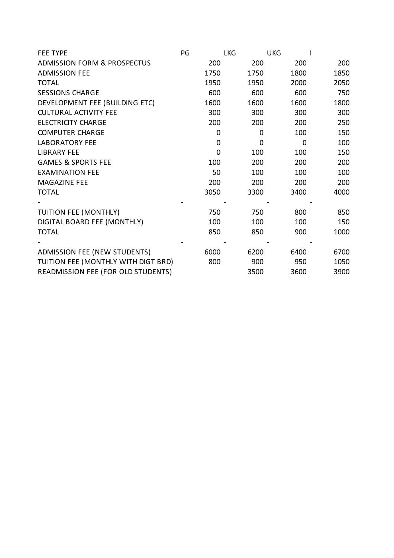| <b>FEE TYPE</b>                           | PG |          | <b>LKG</b> | <b>UKG</b> |      |
|-------------------------------------------|----|----------|------------|------------|------|
| <b>ADMISSION FORM &amp; PROSPECTUS</b>    |    | 200      | 200        | 200        | 200  |
| <b>ADMISSION FEE</b>                      |    | 1750     | 1750       | 1800       | 1850 |
| <b>TOTAL</b>                              |    | 1950     | 1950       | 2000       | 2050 |
| <b>SESSIONS CHARGE</b>                    |    | 600      | 600        | 600        | 750  |
| DEVELOPMENT FEE (BUILDING ETC)            |    | 1600     | 1600       | 1600       | 1800 |
| <b>CULTURAL ACTIVITY FEE</b>              |    | 300      | 300        | 300        | 300  |
| <b>ELECTRICITY CHARGE</b>                 |    | 200      | 200        | 200        | 250  |
| <b>COMPUTER CHARGE</b>                    |    | 0        | 0          | 100        | 150  |
| <b>LABORATORY FEE</b>                     |    | 0        | $\Omega$   | 0          | 100  |
| <b>LIBRARY FEE</b>                        |    | $\Omega$ | 100        | 100        | 150  |
| <b>GAMES &amp; SPORTS FEE</b>             |    | 100      | 200        | 200        | 200  |
| <b>EXAMINATION FEE</b>                    |    | 50       | 100        | 100        | 100  |
| MAGAZINE FEE                              |    | 200      | 200        | 200        | 200  |
| <b>TOTAL</b>                              |    | 3050     | 3300       | 3400       | 4000 |
|                                           |    |          |            |            |      |
| TUITION FEE (MONTHLY)                     |    | 750      | 750        | 800        | 850  |
| DIGITAL BOARD FEE (MONTHLY)               |    | 100      | 100        | 100        | 150  |
| <b>TOTAL</b>                              |    | 850      | 850        | 900        | 1000 |
|                                           |    |          |            |            |      |
| ADMISSION FEE (NEW STUDENTS)              |    | 6000     | 6200       | 6400       | 6700 |
| TUITION FEE (MONTHLY WITH DIGT BRD)       |    | 800      | 900        | 950        | 1050 |
| <b>READMISSION FEE (FOR OLD STUDENTS)</b> |    |          | 3500       | 3600       | 3900 |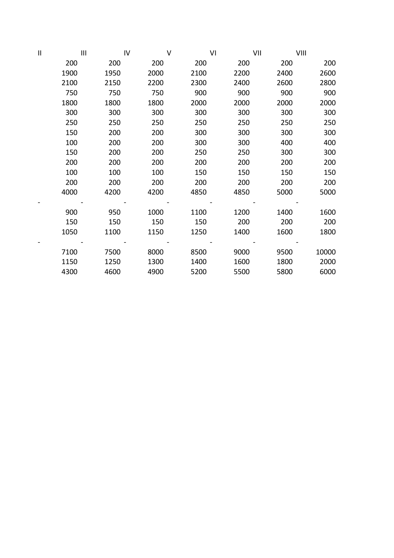| $\mathbf{  }$ | $\mathbf{III}$ | IV   | $\vee$ | VI   | VII  | VIII |       |
|---------------|----------------|------|--------|------|------|------|-------|
|               | 200            | 200  | 200    | 200  | 200  | 200  | 200   |
|               | 1900           | 1950 | 2000   | 2100 | 2200 | 2400 | 2600  |
|               | 2100           | 2150 | 2200   | 2300 | 2400 | 2600 | 2800  |
|               | 750            | 750  | 750    | 900  | 900  | 900  | 900   |
|               | 1800           | 1800 | 1800   | 2000 | 2000 | 2000 | 2000  |
|               | 300            | 300  | 300    | 300  | 300  | 300  | 300   |
|               | 250            | 250  | 250    | 250  | 250  | 250  | 250   |
|               | 150            | 200  | 200    | 300  | 300  | 300  | 300   |
|               | 100            | 200  | 200    | 300  | 300  | 400  | 400   |
|               | 150            | 200  | 200    | 250  | 250  | 300  | 300   |
|               | 200            | 200  | 200    | 200  | 200  | 200  | 200   |
|               | 100            | 100  | 100    | 150  | 150  | 150  | 150   |
|               | 200            | 200  | 200    | 200  | 200  | 200  | 200   |
|               | 4000           | 4200 | 4200   | 4850 | 4850 | 5000 | 5000  |
|               |                |      |        |      |      |      |       |
|               | 900            | 950  | 1000   | 1100 | 1200 | 1400 | 1600  |
|               | 150            | 150  | 150    | 150  | 200  | 200  | 200   |
|               | 1050           | 1100 | 1150   | 1250 | 1400 | 1600 | 1800  |
|               |                |      |        |      |      |      |       |
|               | 7100           | 7500 | 8000   | 8500 | 9000 | 9500 | 10000 |
|               | 1150           | 1250 | 1300   | 1400 | 1600 | 1800 | 2000  |
|               | 4300           | 4600 | 4900   | 5200 | 5500 | 5800 | 6000  |